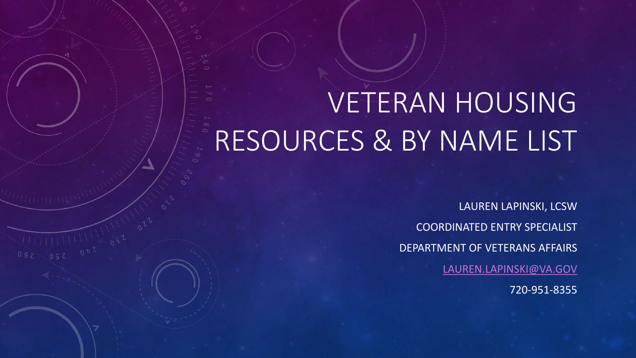# VETERAN HOUSING RESOURCES & BY NAME LIST

LAUREN LAPINSKI, LCSW COORDINATED ENTRY SPECIALIST DEPARTMENT OF VETERANS AFFAIRS [LAUREN.LAPINSKI@VA.GOV](mailto:Lauren.lapinski@va.gov) 720-951-8355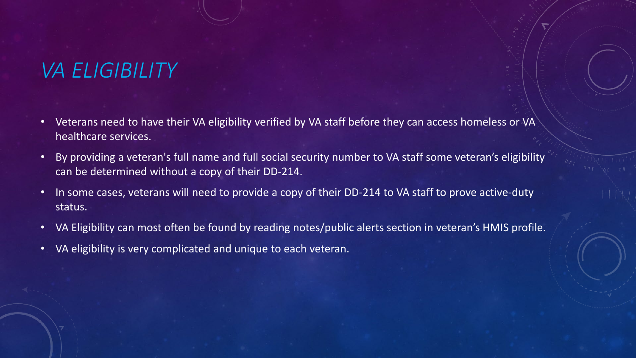### *VA ELIGIBILITY*

- Veterans need to have their VA eligibility verified by VA staff before they can access homeless or VA healthcare services.
- By providing a veteran's full name and full social security number to VA staff some veteran's eligibility can be determined without a copy of their DD-214.
- In some cases, veterans will need to provide a copy of their DD-214 to VA staff to prove active-duty status.
- VA Eligibility can most often be found by reading notes/public alerts section in veteran's HMIS profile.
- VA eligibility is very complicated and unique to each veteran.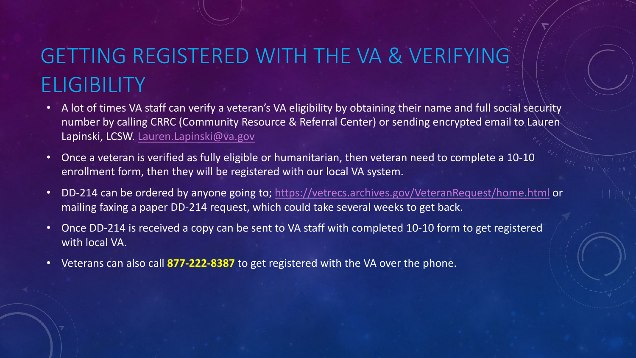# GETTING REGISTERED WITH THE VA & VERIFYING **ELIGIBILITY**

- A lot of times VA staff can verify a veteran's VA eligibility by obtaining their name and full social security number by calling CRRC (Community Resource & Referral Center) or sending encrypted email to Lauren Lapinski, LCSW. [Lauren.Lapinski@va.gov](mailto:Lauren.Lapinski@va.gov)
- Once a veteran is verified as fully eligible or humanitarian, then veteran need to complete a 10-10 enrollment form, then they will be registered with our local VA system.
- DD-214 can be ordered by anyone going to; <https://vetrecs.archives.gov/VeteranRequest/home.html> or mailing faxing a paper DD-214 request, which could take several weeks to get back.
- Once DD-214 is received a copy can be sent to VA staff with completed 10-10 form to get registered with local VA.
- Veterans can also call **877-222-8387** to get registered with the VA over the phone.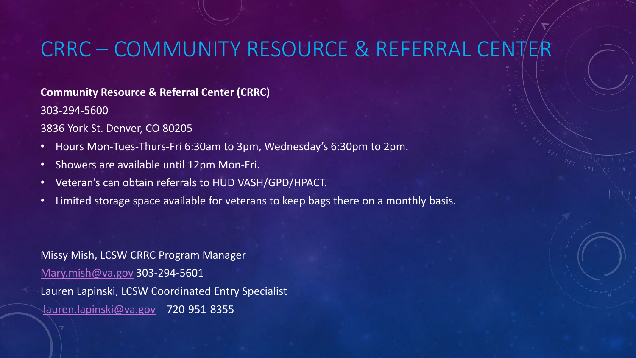# CRRC – COMMUNITY RESOURCE & REFERRAL CENT

#### **Community Resource & Referral Center (CRRC)**

303-294-5600

3836 York St. Denver, CO 80205

- Hours Mon-Tues-Thurs-Fri 6:30am to 3pm, Wednesday's 6:30pm to 2pm.
- Showers are available until 12pm Mon-Fri.
- Veteran's can obtain referrals to HUD VASH/GPD/HPACT.
- Limited storage space available for veterans to keep bags there on a monthly basis.

Missy Mish, LCSW CRRC Program Manager [Mary.mish@va.gov](mailto:Mary.mish@va.gov) 303-294-5601 Lauren Lapinski, LCSW Coordinated Entry Specialist [lauren.lapinski@va.gov](mailto:lauren.lapinski@va.gov) 720-951-8355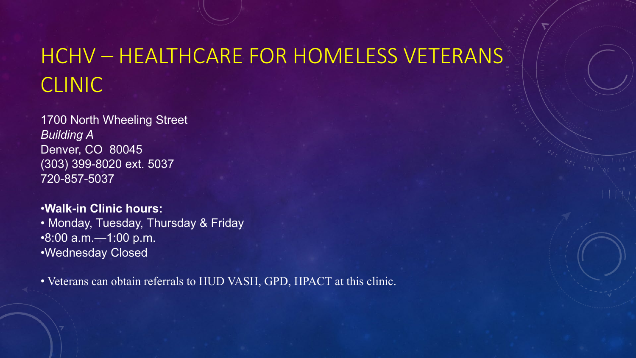# HCHV – HEALTHCARE FOR HOMELESS VETERANS CLINIC

1700 North Wheeling Street *Building A* Denver, CO 80045 (303) 399-8020 ext. 5037 720-857-5037

•**Walk-in Clinic hours:** • Monday, Tuesday, Thursday & Friday •8:00 a.m.—1:00 p.m. •Wednesday Closed

• Veterans can obtain referrals to HUD VASH, GPD, HPACT at this clinic.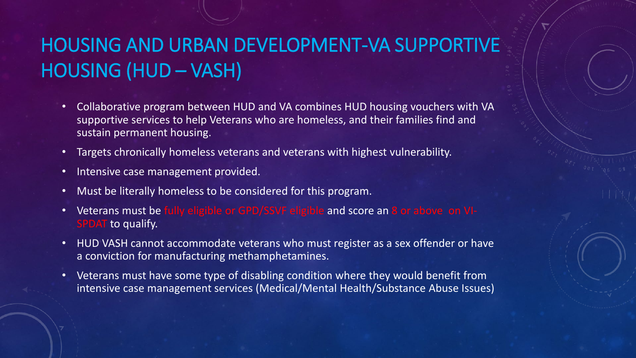### HOUSING AND URBAN DEVELOPMENT-VA SUPPORTIVE HOUSING (HUD – VASH)

- Collaborative program between HUD and VA combines HUD housing vouchers with VA supportive services to help Veterans who are homeless, and their families find and sustain permanent housing.
- Targets chronically homeless veterans and veterans with highest vulnerability.
- Intensive case management provided.
- Must be literally homeless to be considered for this program.
- Veterans must be fully eligible or GPD/SSVF eligible and score an 8 or above on VI-**SPDAT** to qualify.
- HUD VASH cannot accommodate veterans who must register as a sex offender or have a conviction for manufacturing methamphetamines.
- Veterans must have some type of disabling condition where they would benefit from intensive case management services (Medical/Mental Health/Substance Abuse Issues)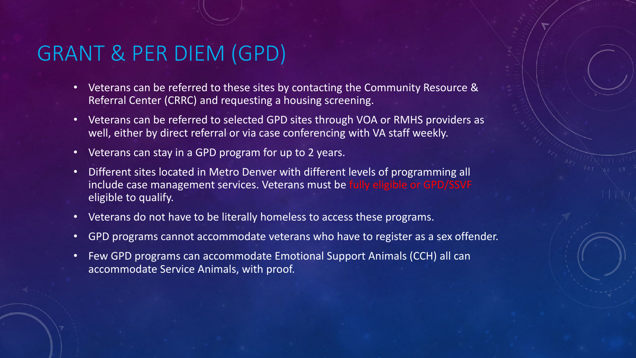#### GRANT & PER DIEM (GPD)

- Veterans can be referred to these sites by contacting the Community Resource & Referral Center (CRRC) and requesting a housing screening.
- Veterans can be referred to selected GPD sites through VOA or RMHS providers as well, either by direct referral or via case conferencing with VA staff weekly.
- Veterans can stay in a GPD program for up to 2 years.
- Different sites located in Metro Denver with different levels of programming all include case management services. Veterans must be fully eligible or GPD/SSVF eligible to qualify.
- Veterans do not have to be literally homeless to access these programs.
- GPD programs cannot accommodate veterans who have to register as a sex offender.
- Few GPD programs can accommodate Emotional Support Animals (CCH) all can accommodate Service Animals, with proof.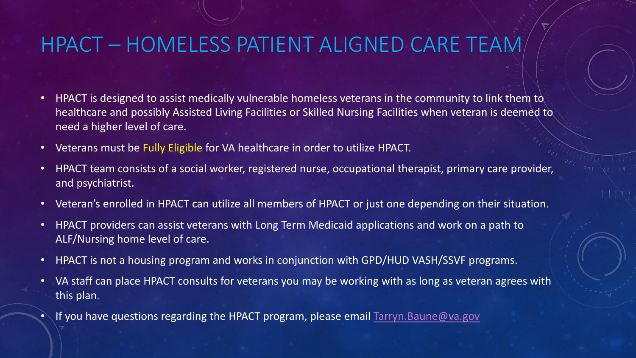#### HPACT – HOMELESS PATIENT ALIGNED CARE TEAM

- HPACT is designed to assist medically vulnerable homeless veterans in the community to link them to healthcare and possibly Assisted Living Facilities or Skilled Nursing Facilities when veteran is deemed to need a higher level of care.
- Veterans must be Fully Eligible for VA healthcare in order to utilize HPACT.
- HPACT team consists of a social worker, registered nurse, occupational therapist, primary care provider, and psychiatrist.
- Veteran's enrolled in HPACT can utilize all members of HPACT or just one depending on their situation.
- HPACT providers can assist veterans with Long Term Medicaid applications and work on a path to ALF/Nursing home level of care.
- HPACT is not a housing program and works in conjunction with GPD/HUD VASH/SSVF programs.
- VA staff can place HPACT consults for veterans you may be working with as long as veteran agrees with this plan.
- If you have questions regarding the HPACT program, please email [Tarryn.Baune@va.gov](mailto:Tarryn.Baune@va.gov)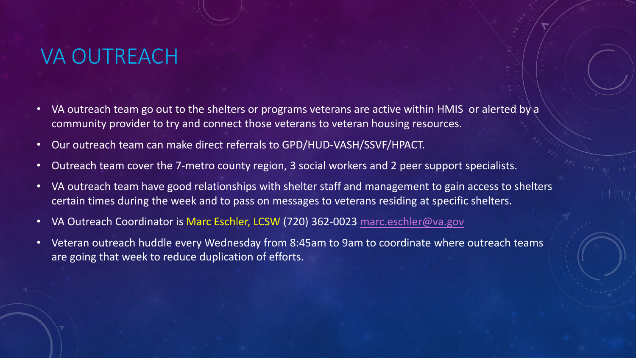# VA OUTREACH

- VA outreach team go out to the shelters or programs veterans are active within HMIS or alerted by a community provider to try and connect those veterans to veteran housing resources.
- Our outreach team can make direct referrals to GPD/HUD-VASH/SSVF/HPACT.
- Outreach team cover the 7-metro county region, 3 social workers and 2 peer support specialists.
- VA outreach team have good relationships with shelter staff and management to gain access to shelters certain times during the week and to pass on messages to veterans residing at specific shelters.
- VA Outreach Coordinator is Marc Eschler, LCSW (720) 362-0023 [marc.eschler@va.gov](mailto:marc.eschler@va.gov)
- Veteran outreach huddle every Wednesday from 8:45am to 9am to coordinate where outreach teams are going that week to reduce duplication of efforts.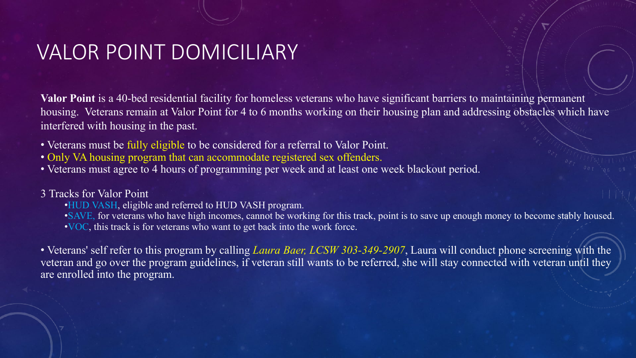#### VALOR POINT DOMICILIARY

**Valor Point** is a 40-bed residential facility for homeless veterans who have significant barriers to maintaining permanent housing. Veterans remain at Valor Point for 4 to 6 months working on their housing plan and addressing obstacles which have interfered with housing in the past.

- Veterans must be fully eligible to be considered for a referral to Valor Point.
- Only VA housing program that can accommodate registered sex offenders.
- Veterans must agree to 4 hours of programming per week and at least one week blackout period.

#### 3 Tracks for Valor Point

•HUD VASH, eligible and referred to HUD VASH program.

•SAVE, for veterans who have high incomes, cannot be working for this track, point is to save up enough money to become stably housed. •VOC, this track is for veterans who want to get back into the work force.

• Veterans' self refer to this program by calling *Laura Baer, LCSW 303-349-2907*, Laura will conduct phone screening with the veteran and go over the program guidelines, if veteran still wants to be referred, she will stay connected with veteran until they are enrolled into the program.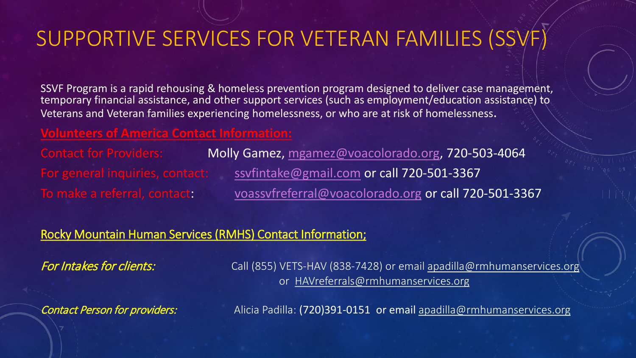# SUPPORTIVE SERVICES FOR VETERAN FAMILIES (SSVF)

SSVF Program is a rapid rehousing & homeless prevention program designed to deliver case management, temporary financial assistance, and other support services (such as employment/education assistance) to Veterans and Veteran families experiencing homelessness, or who are at risk of homelessness.

#### **Volunteers of America Contact Information:**

Contact for Providers: Molly Gamez, [mgamez@voacolorado.org,](mailto:mgamez@voacolorado.org) 720-503-4064 For general inquiries, contact: [ssvfintake@gmail.com](mailto:ssvfintake@gmail.com) or call 720-501-3367 To make a referral, contact: [voassvfreferral@voacolorado.org](mailto:voassvfreferral@voacolorado.org) or call 720-501-3367

#### Rocky Mountain Human Services (RMHS) Contact Information;

For Intakes for clients: Call (855) VETS-HAV (838-7428) or email [apadilla@rmhumanservices.org](mailto:apadilla@rmhumanservices.org) or [HAVreferrals@rmhumanservices.org](mailto:HAVreferrals@rmhumanservices.org)

Contact Person for providers: Alicia Padilla: (720)391-0151 or email [apadilla@rmhumanservices.org](mailto:apadilla@rmhumanservices.org)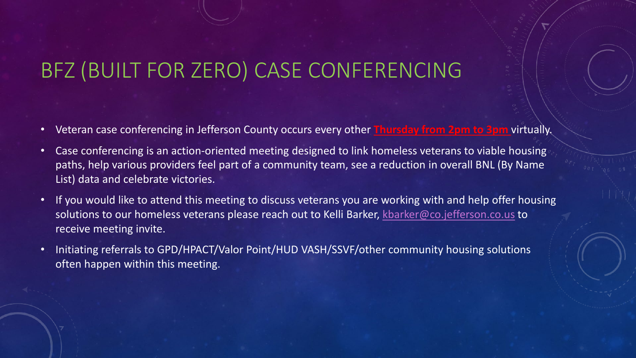# BFZ (BUILT FOR ZERO) CASE CONFERENCING

- Veteran case conferencing in Jefferson County occurs every other **Thursday from 2pm to 3pm** virtually.
- Case conferencing is an action-oriented meeting designed to link homeless veterans to viable housing paths, help various providers feel part of a community team, see a reduction in overall BNL (By Name List) data and celebrate victories.
- If you would like to attend this meeting to discuss veterans you are working with and help offer housing solutions to our homeless veterans please reach out to Kelli Barker, [kbarker@co.jefferson.co.us](mailto:kbarker@co.jefferson.co.us) to receive meeting invite.
- Initiating referrals to GPD/HPACT/Valor Point/HUD VASH/SSVF/other community housing solutions often happen within this meeting.